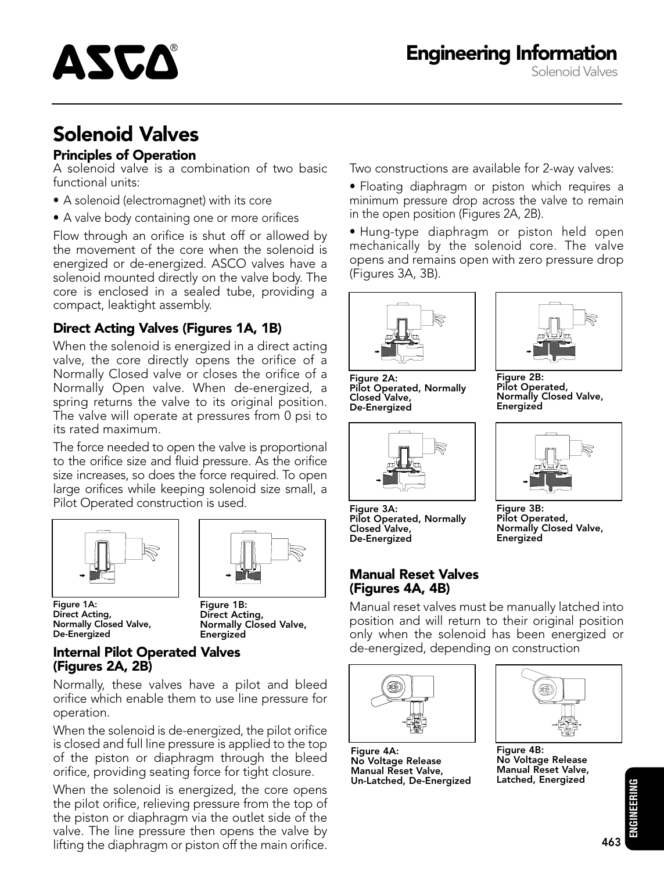

# Solenoid Valves

#### Principles of Operation

A solenoid valve is a combination of two basic functional units:

- A solenoid (electromagnet) with its core
- A valve body containing one or more orifices

Flow through an orifice is shut off or allowed by the movement of the core when the solenoid is energized or de-energized. ASCO valves have a solenoid mounted directly on the valve body. The core is enclosed in a sealed tube, providing a compact, leaktight assembly.

#### Direct Acting Valves (Figures 1A, 1B)

When the solenoid is energized in a direct acting valve, the core directly opens the orifice of a Normally Closed valve or closes the orifice of a Normally Open valve. When de-energized, a spring returns the valve to its original position. The valve will operate at pressures from 0 psi to its rated maximum.

The force needed to open the valve is proportional to the orifice size and fluid pressure. As the orifice size increases, so does the force required. To open large orifices while keeping solenoid size small, a Pilot Operated construction is used.





Figure 1A: Direct Acting, Normally Closed Valve, De-Energized

Figure 1B: Direct Acting, Normally Closed Valve, **Energized** 

#### Internal Pilot Operated Valves (Figures 2A, 2B)

Normally, these valves have a pilot and bleed orifice which enable them to use line pressure for operation.

When the solenoid is de-energized, the pilot orifice is closed and full line pressure is applied to the top of the piston or diaphragm through the bleed orifice, providing seating force for tight closure.

When the solenoid is energized, the core opens the pilot orifice, relieving pressure from the top of the piston or diaphragm via the outlet side of the valve. The line pressure then opens the valve by lifting the diaphragm or piston off the main orifice.

Two constructions are available for 2-way valves:

- Floating diaphragm or piston which requires a minimum pressure drop across the valve to remain in the open position (Figures 2A, 2B).
- Hung-type diaphragm or piston held open mechanically by the solenoid core. The valve opens and remains open with zero pressure drop (Figures 3A, 3B).



Figure 2A: Pilot Operated, Normally Closed Valve, De-Energized





Figure 2B: Pilot Operated, Normally Closed Valve, Energized



Figure 3B: Pilot Operated, Normally Closed Valve,

Energized

Figure 3A: Pilot Operated, Normally Closed Valve, De-Energized

#### Manual Reset Valves (Figures 4A, 4B)

Manual reset valves must be manually latched into position and will return to their original position only when the solenoid has been energized or de-energized, depending on construction



Figure 4A: No Voltage Release Manual Reset Valve, Un-Latched, De-Energized



Figure 4B: No Voltage Release Manual Reset Valve, Latched, Energized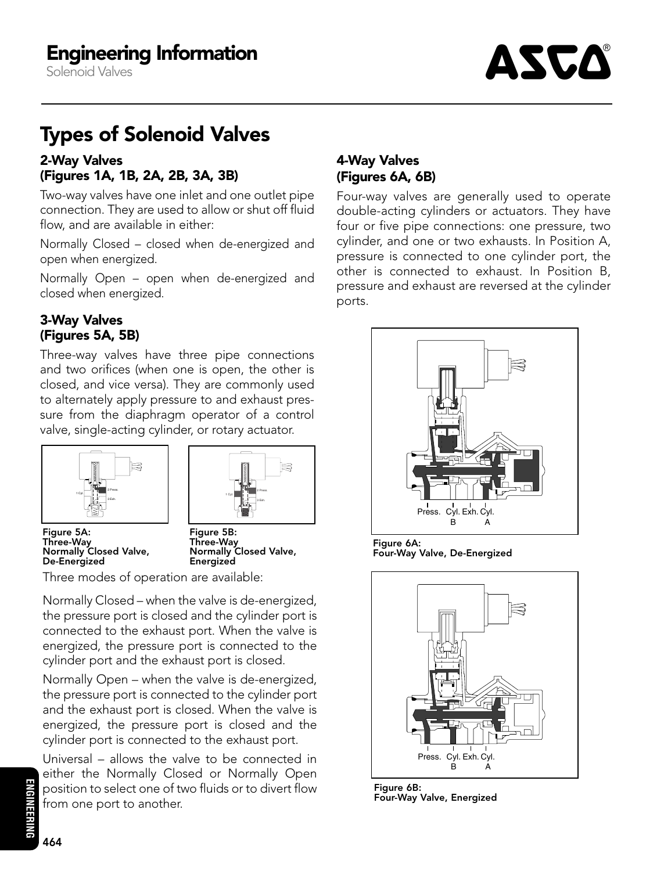Solenoid Valves



# Types of Solenoid Valves

#### 2-Way Valves (Figures 1A, 1B, 2A, 2B, 3A, 3B)

Two-way valves have one inlet and one outlet pipe connection. They are used to allow or shut off fluid flow, and are available in either:

Normally Closed – closed when de-energized and open when energized.

Normally Open – open when de-energized and closed when energized.

#### 3-Way Valves (Figures 5A, 5B)

Three-way valves have three pipe connections and two orifices (when one is open, the other is closed, and vice versa). They are commonly used to alternately apply pressure to and exhaust pressure from the diaphragm operator of a control valve, single-acting cylinder, or rotary actuator.





Figure 5A: Three-Way Normally Closed Valve, De-Energized

Figure 5B: Three-Way Normally Closed Valve, **Energized** 

Three modes of operation are available:

Normally Closed – when the valve is de-energized, the pressure port is closed and the cylinder port is connected to the exhaust port. When the valve is energized, the pressure port is connected to the cylinder port and the exhaust port is closed.

Normally Open – when the valve is de-energized, the pressure port is connected to the cylinder port and the exhaust port is closed. When the valve is energized, the pressure port is closed and the cylinder port is connected to the exhaust port.

Universal – allows the valve to be connected in either the Normally Closed or Normally Open position to select one of two fluids or to divert flow from one port to another.

## 4-Way Valves (Figures 6A, 6B)

Four-way valves are generally used to operate double-acting cylinders or actuators. They have four or five pipe connections: one pressure, two cylinder, and one or two exhausts. In Position A, pressure is connected to one cylinder port, the other is connected to exhaust. In Position B, pressure and exhaust are reversed at the cylinder ports.



Figure 6A: Four-Way Valve, De-Energized



Figure 6B: Four-Way Valve, Energized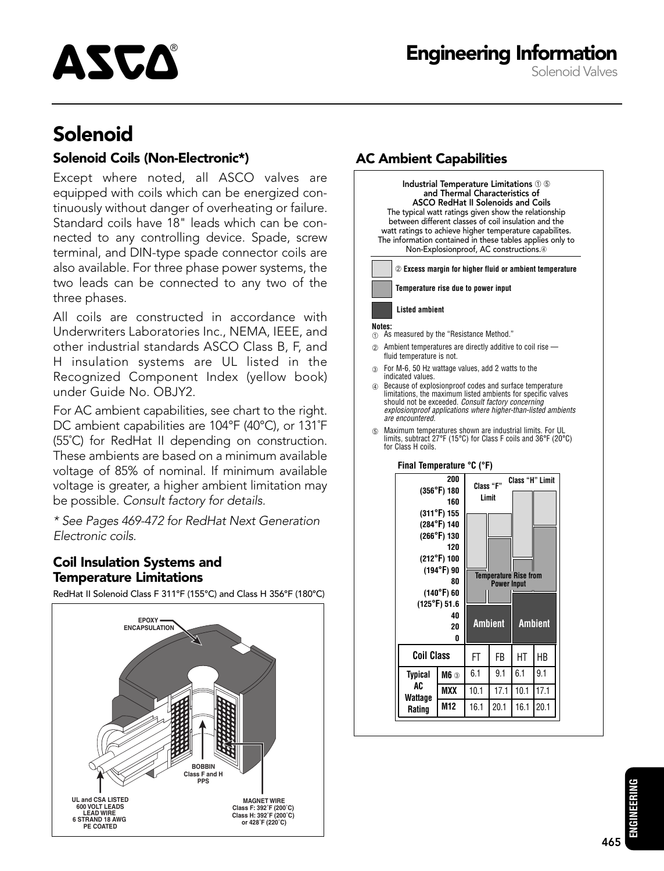Engineering Information Solenoid Valves



# Solenoid

#### Solenoid Coils (Non-Electronic\*) **AC Ambient Capabilities**

Except where noted, all ASCO valves are equipped with coils which can be energized continuously without danger of overheating or failure. Standard coils have 18" leads which can be connected to any controlling device. Spade, screw terminal, and DIN-type spade connector coils are also available. For three phase power systems, the two leads can be connected to any two of the three phases.

All coils are constructed in accordance with Underwriters Laboratories Inc., NEMA, IEEE, and other industrial standards ASCO Class B, F, and H insulation systems are UL listed in the Recognized Component Index (yellow book) under Guide No. OBJY2.

For AC ambient capabilities, see chart to the right. DC ambient capabilities are 104°F (40°C), or 131˚F (55˚C) for RedHat II depending on construction. These ambients are based on a minimum available voltage of 85% of nominal. If minimum available voltage is greater, a higher ambient limitation may be possible. Consult factory for details.

\* See Pages 469-472 for RedHat Next Generation Electronic coils.

#### Coil Insulation Systems and Temperature Limitations

RedHat II Solenoid Class F 311°F (155°C) and Class H 356°F (180°C)





**ENGINEERING**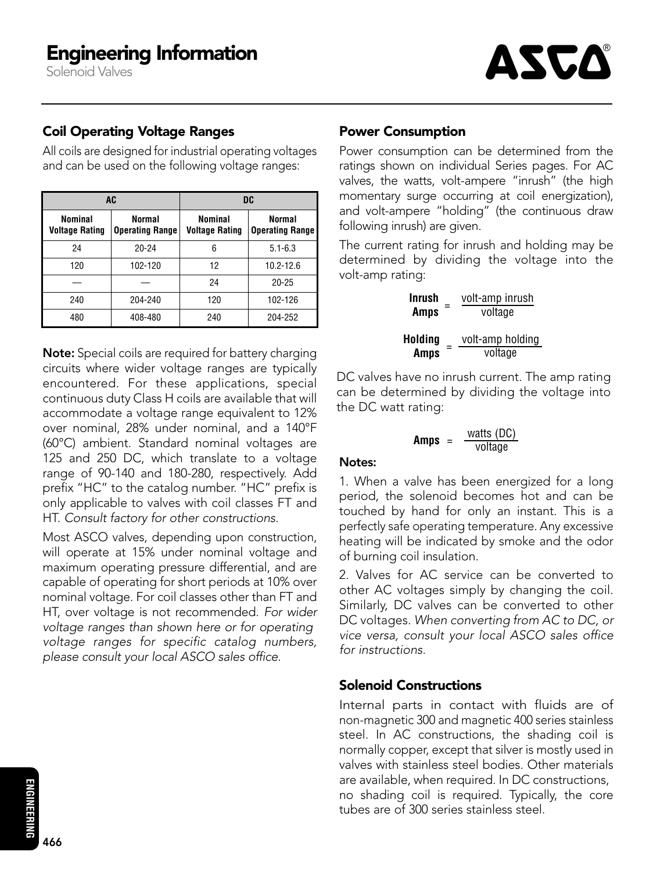Solenoid Valves



#### Coil Operating Voltage Ranges

All coils are designed for industrial operating voltages and can be used on the following voltage ranges:

| AC                               |                                  | DC                               |                                         |
|----------------------------------|----------------------------------|----------------------------------|-----------------------------------------|
| Nominal<br><b>Voltage Rating</b> | Normal<br><b>Operating Range</b> | Nominal<br><b>Voltage Rating</b> | <b>Normal</b><br><b>Operating Range</b> |
| 24                               | $20 - 24$                        | 6                                | $5.1 - 6.3$                             |
| 120                              | 102-120                          | 12                               | $10.2 - 12.6$                           |
|                                  |                                  | 24                               | $20 - 25$                               |
| 240                              | 204-240                          | 120                              | 102-126                                 |
| 480                              | 408-480                          | 240                              | 204-252                                 |

Note: Special coils are required for battery charging circuits where wider voltage ranges are typically encountered. For these applications, special continuous duty Class H coils are available that will accommodate a voltage range equivalent to 12% over nominal, 28% under nominal, and a 140°F (60°C) ambient. Standard nominal voltages are 125 and 250 DC, which translate to a voltage range of 90-140 and 180-280, respectively. Add prefix "HC" to the catalog number. "HC" prefix is only applicable to valves with coil classes FT and HT. Consult factory for other constructions.

Most ASCO valves, depending upon construction, will operate at 15% under nominal voltage and maximum operating pressure differential, and are capable of operating for short periods at 10% over nominal voltage. For coil classes other than FT and HT, over voltage is not recommended. For wider voltage ranges than shown here or for operating voltage ranges for specific catalog numbers, <sup>p</sup>lease consult your local ASCO sales office.

#### Power Consumption

Power consumption can be determined from the ratings shown on individual Series pages. For AC valves, the watts, volt-ampere "inrush" (the high momentary surge occurring at coil energization), and volt-ampere "holding" (the continuous draw following inrush) are given.

The current rating for inrush and holding may be determined by dividing the voltage into the volt-amp rating:

> **Inrush Amps** = volt-amp inrush<br>voltage **Holding** = <u>volt-amp holding</u><br>**Amps** = voltage **Amps**

DC valves have no inrush current. The amp rating can be determined by dividing the voltage into the DC watt rating:

**Amps** = 
$$
\frac{\text{watts (DC)}}{\text{voltage}}
$$

#### Notes:

1. When a valve has been energized for a long period, the solenoid becomes hot and can be touched by hand for only an instant. This is a perfectly safe operating temperature. Any excessive heating will be indicated by smoke and the odor of burning coil insulation.

2. Valves for AC service can be converted to other AC voltages simply by changing the coil. Similarly, DC valves can be converted to other DC voltages. When converting from AC to DC, or vice versa, consult your local ASCO sales office for instructions.

#### Solenoid Constructions

Internal parts in contact with fluids are of non-magnetic300 and magnetic 400 series stainless steel. In AC constructions, the shading coil is normally copper, except that silver is mostly used in valves with stainless steel bodies. Other materials are available, when required. In DC constructions, no shading coil is required. Typically, the core tubes are of 300 series stainless steel.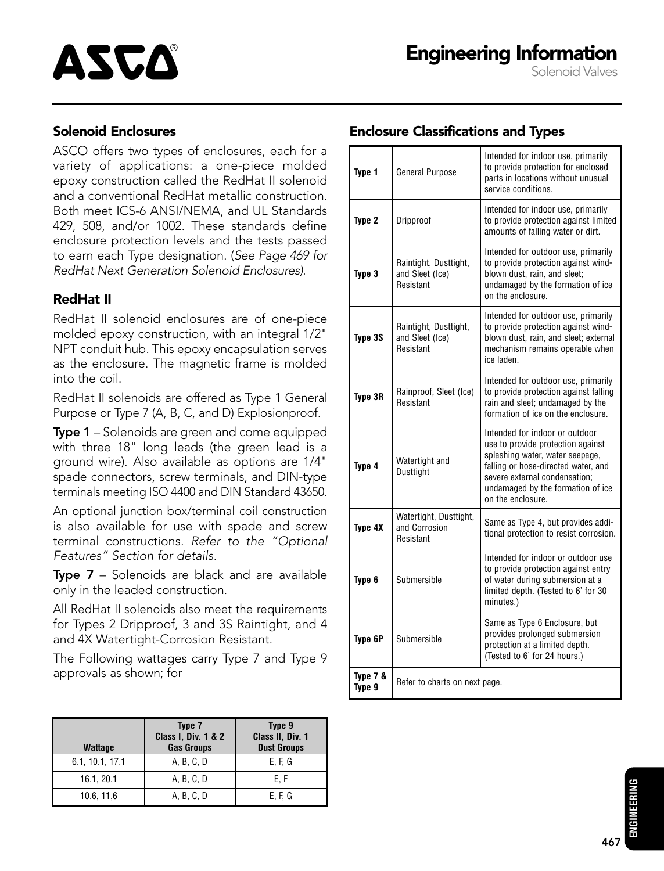#### Solenoid Enclosures

ASCO offers two types of enclosures, each for a variety of applications: a one-piece molded epoxy construction called the RedHat II solenoid and a conventional RedHat metallic construction. Both meet ICS-6 ANSI/NEMA, and UL Standards 429, 508, and/or 1002. These standards define enclosure protection levels and the tests passed to earn each Type designation. (See Page 469 for RedHat Next Generation Solenoid Enclosures).

#### RedHat II

RedHat II solenoid enclosures are of one-piece molded epoxy construction, with an integral 1/2" NPT conduit hub. This epoxy encapsulation serves as the enclosure. The magnetic frame is molded into the coil.

RedHat II solenoids are offered as Type 1 General Purpose or Type 7 (A, B, C, and D) Explosionproof.

**Type 1** – Solenoids are green and come equipped with three 18" long leads (the green lead is a ground wire). Also available as options are 1/4" spade connectors, screw terminals, and DIN-type terminals meeting ISO 4400 and DIN Standard 43650.

An optional junction box/terminal coil construction is also available for use with spade and screw terminal constructions. Refer to the "Optional Features" Section for details.

Type 7 - Solenoids are black and are available only in the leaded construction.

All RedHat II solenoids also meet the requirements for Types 2 Dripproof, 3 and 3S Raintight, and 4 and 4X Watertight-Corrosion Resistant.

The Following wattages carry Type 7 and Type 9 approvals as shown; for

| <b>Wattage</b>  | Type 7<br><b>Class I, Div. 1 &amp; 2</b><br><b>Gas Groups</b> | Type 9<br>Class II, Div. 1<br><b>Dust Groups</b> |
|-----------------|---------------------------------------------------------------|--------------------------------------------------|
| 6.1, 10.1, 17.1 | A, B, C, D                                                    | E, F, G                                          |
| 16.1, 20.1      | A, B, C, D                                                    | E, F                                             |
| 10.6, 11,6      | A, B, C, D                                                    | E, F, G                                          |

#### Enclosure Classifications and Types

| Type 1             | <b>General Purpose</b>                                | Intended for indoor use, primarily<br>to provide protection for enclosed<br>parts in locations without unusual<br>service conditions.                                                                                                    |
|--------------------|-------------------------------------------------------|------------------------------------------------------------------------------------------------------------------------------------------------------------------------------------------------------------------------------------------|
| Type 2             | Dripproof                                             | Intended for indoor use, primarily<br>to provide protection against limited<br>amounts of falling water or dirt.                                                                                                                         |
| Type 3             | Raintight, Dusttight,<br>and Sleet (Ice)<br>Resistant | Intended for outdoor use, primarily<br>to provide protection against wind-<br>blown dust, rain, and sleet;<br>undamaged by the formation of ice<br>on the enclosure.                                                                     |
| Type 3S            | Raintight, Dusttight,<br>and Sleet (Ice)<br>Resistant | Intended for outdoor use, primarily<br>to provide protection against wind-<br>blown dust, rain, and sleet; external<br>mechanism remains operable when<br>ice laden.                                                                     |
| Type 3R            | Rainproof, Sleet (Ice)<br>Resistant                   | Intended for outdoor use, primarily<br>to provide protection against falling<br>rain and sleet; undamaged by the<br>formation of ice on the enclosure.                                                                                   |
| Type 4             | Watertight and<br>Dusttight                           | Intended for indoor or outdoor<br>use to provide protection against<br>splashing water, water seepage,<br>falling or hose-directed water, and<br>severe external condensation;<br>undamaged by the formation of ice<br>on the enclosure. |
| Type 4X            | Watertight, Dusttight,<br>and Corrosion<br>Resistant  | Same as Type 4, but provides addi-<br>tional protection to resist corrosion.                                                                                                                                                             |
| Type 6             | Submersible                                           | Intended for indoor or outdoor use<br>to provide protection against entry<br>of water during submersion at a<br>limited depth. (Tested to 6' for 30<br>minutes.)                                                                         |
| Type 6P            | Submersible                                           | Same as Type 6 Enclosure, but<br>provides prolonged submersion<br>protection at a limited depth.<br>(Tested to 6' for 24 hours.)                                                                                                         |
| Type 7 &<br>Type 9 | Refer to charts on next page.                         |                                                                                                                                                                                                                                          |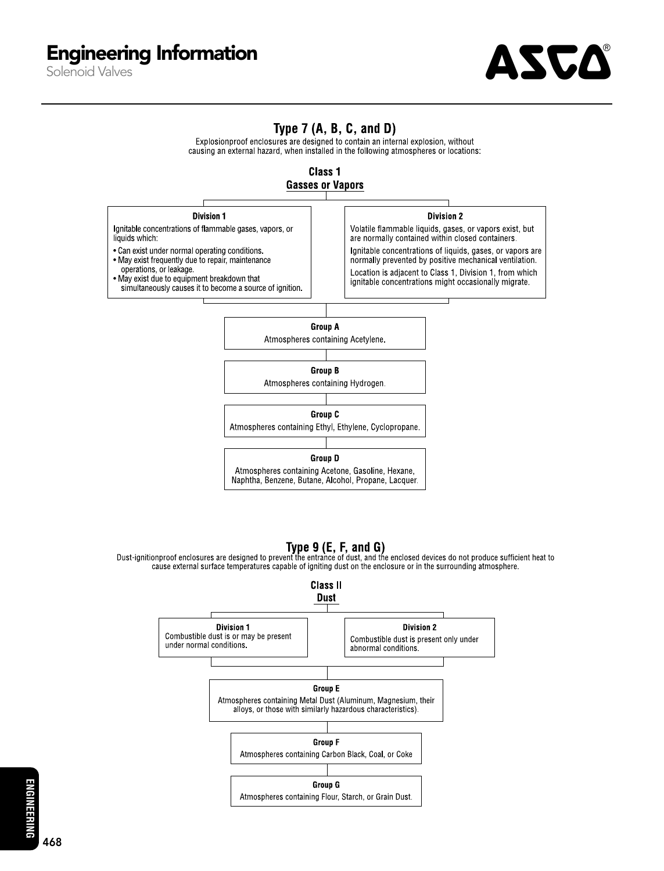

### Type  $7(A, B, C, and D)$

Explosionproof enclosures are designed to contain an internal explosion, without causing an external hazard, when installed in the following atmospheres or locations:





**Type 9 (E, F, and G)**<br>Dust-ignitionproof enclosures are designed to prevent the entrance of dust, and the enclosed devices do not produce sufficient heat to cause external surface temperatures capable of igniting dust on the enclosure or in the surrounding atmosphere.



**ENGINEERING**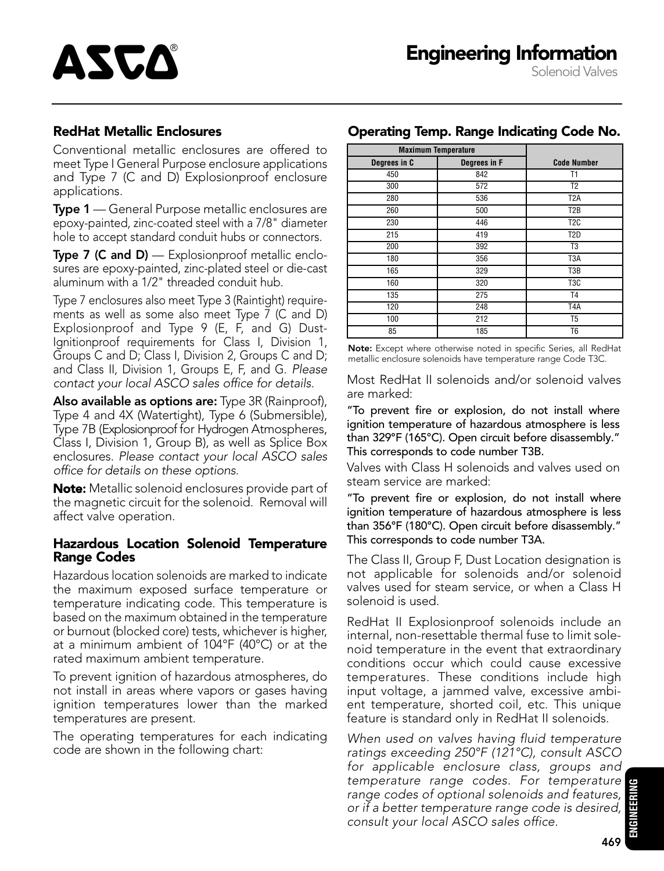#### RedHat Metallic Enclosures

ASCA

Conventional metallic enclosures are offered to meet Type I General Purpose enclosure applications and Type 7 (C and D) Explosionproof enclosure applications.

**Type 1** — General Purpose metallic enclosures are epoxy-painted, zinc-coated steel with a 7/8" diameter hole to accept standard conduit hubs or connectors.

**Type 7 (C and D)** — Explosionproof metallic enclosures are epoxy-painted, zinc-plated steel or die-cast aluminum with a 1/2" threaded conduit hub.

Type 7 enclosures also meet Type 3 (Raintight) requirements as well as some also meet Type 7 (C and D) Explosionproof and Type 9 (E, F, and G) Dust-Ignitionproof requirements for Class I, Division 1, Groups C and D; Class I, Division 2, Groups C and D; and Class II, Division 1, Groups E, F, and G. Please contact your local ASCO sales office for details.

Also available as options are: Type 3R (Rainproof), Type 4 and 4X (Watertight), Type 6 (Submersible), Type 7B (Explosionproof for Hydrogen Atmospheres, Class I, Division 1, Group B), as well as Splice Box enclosures. Please contact your local ASCO sales office for details on these options.

Note: Metallic solenoid enclosures provide part of the magnetic circuit for the solenoid. Removal will affect valve operation.

#### Hazardous Location Solenoid Temperature Range Codes

Hazardous location solenoids are marked to indicate the maximum exposed surface temperature or temperature indicating code. This temperature is based on the maximumobtained in the temperature or burnout (blocked core) tests, whichever is higher, at a minimum ambient of 104°F (40°C) or at the rated maximum ambient temperature.

To prevent ignition of hazardous atmospheres, do not install in areas where vapors or gases having ignition temperatures lower than the marked temperatures are present.

The operating temperatures for each indicating code are shown in the following chart:

| <b>Maximum Temperature</b> |              |                    |
|----------------------------|--------------|--------------------|
| Degrees in C               | Degrees in F | <b>Code Number</b> |
| 450                        | 842          | T1                 |
| 300                        | 572          | T <sub>2</sub>     |
| 280                        | 536          | T <sub>2</sub> A   |
| 260                        | 500          | T <sub>2</sub> B   |
| 230                        | 446          | T <sub>2</sub> C   |
| 215                        | 419          | T <sub>2</sub> D   |
| 200                        | 392          | T <sub>3</sub>     |
| 180                        | 356          | T <sub>3</sub> A   |
| 165                        | 329          | T3B                |
| 160                        | 320          | T <sub>3</sub> C   |
| 135                        | 275          | T <sub>4</sub>     |
| 120                        | 248          | T <sub>4</sub> A   |
| 100                        | 212          | T <sub>5</sub>     |
| 85                         | 185          | T <sub>6</sub>     |

Operating Temp. Range Indicating Code No.

Note: Except where otherwise noted in specific Series, all RedHat metallic enclosure solenoids have temperature range Code T3C.

Most RedHat II solenoids and/or solenoid valves are marked:

"To prevent fire or explosion, do not install where ignition temperature of hazardous atmosphere is less than 329°F (165°C). Open circuit before disassembly ." This corresponds to code number T3B.

Valves with Class H solenoids and valves used on steam service are marked:

"To prevent fire or explosion, do not install where ignition temperature of hazardous atmosphere is less than 356°F (180°C). Open circuit before disassembly ." This corresponds to code number T3A.

The Class II, Group F, Dust Location designation is not applicable for solenoids and/or solenoid valves used for steam service, or when a Class H solenoid is used.

RedHat II Explosionproof solenoids include an internal, non-resettable thermal fuse to limit solenoid temperature in the event that extraordinary conditions occur which could cause excessive temperatures. These conditions include high input voltage, a jammed valve, excessive ambient temperature, shorted coil, etc. This unique feature is standard only in RedHat II solenoids.

When used on valves having fluid temperature ratings exceeding 250°F (121°C), consult ASCO for applicable enclosure class, groups and temperature range codes. For temperature range codes of optional solenoids and features, or if a better temperature range code is desired, consult your local ASCO sales office.